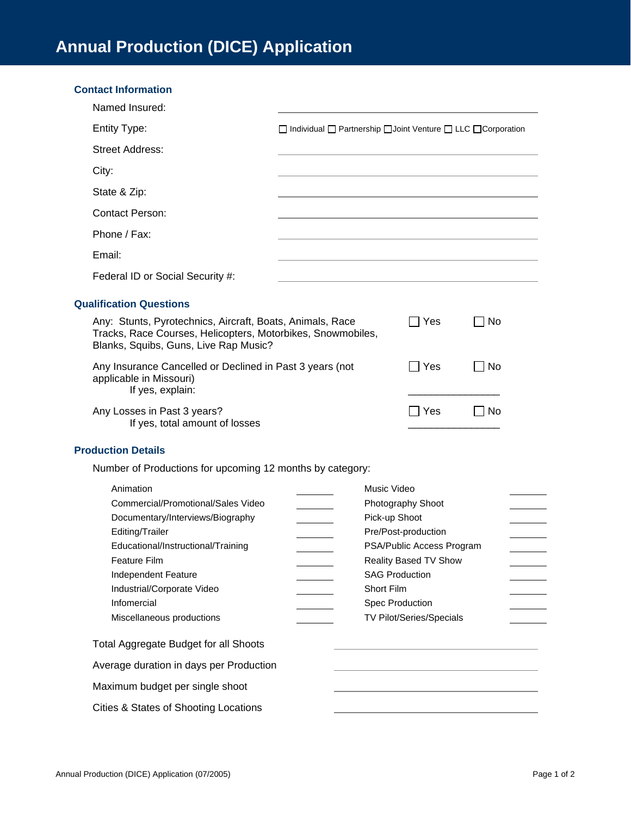| <b>Contact Information</b>                                                                                                                                        |                                                                                         |                       |            |       |  |
|-------------------------------------------------------------------------------------------------------------------------------------------------------------------|-----------------------------------------------------------------------------------------|-----------------------|------------|-------|--|
| Named Insured:                                                                                                                                                    |                                                                                         |                       |            |       |  |
| <b>Entity Type:</b>                                                                                                                                               | $\Box$ Individual $\Box$ Partnership $\Box$ Joint Venture $\Box$ LLC $\Box$ Corporation |                       |            |       |  |
| <b>Street Address:</b>                                                                                                                                            |                                                                                         |                       |            |       |  |
| City:                                                                                                                                                             |                                                                                         |                       |            |       |  |
| State & Zip:                                                                                                                                                      |                                                                                         |                       |            |       |  |
| <b>Contact Person:</b>                                                                                                                                            |                                                                                         |                       |            |       |  |
| Phone / Fax:                                                                                                                                                      |                                                                                         |                       |            |       |  |
| Email:                                                                                                                                                            |                                                                                         |                       |            |       |  |
| Federal ID or Social Security #:                                                                                                                                  |                                                                                         |                       |            |       |  |
| <b>Qualification Questions</b>                                                                                                                                    |                                                                                         |                       |            |       |  |
| Any: Stunts, Pyrotechnics, Aircraft, Boats, Animals, Race<br>Tracks, Race Courses, Helicopters, Motorbikes, Snowmobiles,<br>Blanks, Squibs, Guns, Live Rap Music? |                                                                                         |                       | $\Box$ Yes | ∐ No  |  |
| Any Insurance Cancelled or Declined in Past 3 years (not<br>applicable in Missouri)<br>If yes, explain:                                                           |                                                                                         |                       | Yes        | ∣No   |  |
| Any Losses in Past 3 years?<br>If yes, total amount of losses                                                                                                     |                                                                                         |                       | $\Box$ Yes | l INo |  |
| <b>Production Details</b>                                                                                                                                         |                                                                                         |                       |            |       |  |
| Number of Productions for upcoming 12 months by category:                                                                                                         |                                                                                         |                       |            |       |  |
| Animation                                                                                                                                                         | Music Video<br>Commercial/Promotional/Sales Video<br>Photography Shoot<br>Pick-up Shoot |                       |            |       |  |
| Documentary/Interviews/Biography                                                                                                                                  |                                                                                         |                       |            |       |  |
| Editing/Trailer                                                                                                                                                   | Pre/Post-production                                                                     |                       |            |       |  |
| Educational/Instructional/Training                                                                                                                                | PSA/Public Access Program                                                               |                       |            |       |  |
| Feature Film                                                                                                                                                      |                                                                                         | Reality Based TV Show |            |       |  |
| Independent Feature                                                                                                                                               |                                                                                         | <b>SAG Production</b> |            |       |  |
| Industrial/Corporate Video<br>Infomercial                                                                                                                         |                                                                                         | Short Film            |            |       |  |
| Miscellaneous productions                                                                                                                                         | Spec Production<br>TV Pilot/Series/Specials                                             |                       |            |       |  |
| Total Aggregate Budget for all Shoots                                                                                                                             |                                                                                         |                       |            |       |  |
| Average duration in days per Production                                                                                                                           |                                                                                         |                       |            |       |  |
| Maximum budget per single shoot                                                                                                                                   |                                                                                         |                       |            |       |  |
| Cities & States of Shooting Locations                                                                                                                             |                                                                                         |                       |            |       |  |